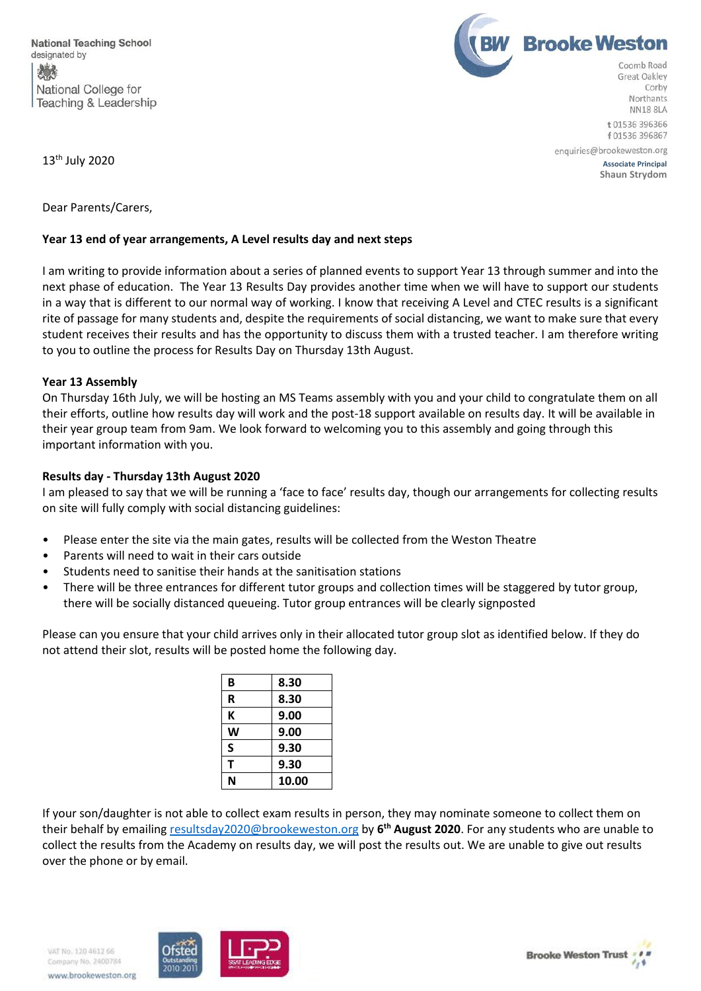

Northants **NN18 8LA** t 01536 396366 f 01536 396867

13<sup>th</sup> July 2020 Associate Principal

**Shaun Strydom**

 $13<sup>th</sup>$  July 2020

Dear Parents/Carers,

### **Year 13 end of year arrangements, A Level results day and next steps**

I am writing to provide information about a series of planned events to support Year 13 through summer and into the next phase of education. The Year 13 Results Day provides another time when we will have to support our students in a way that is different to our normal way of working. I know that receiving A Level and CTEC results is a significant rite of passage for many students and, despite the requirements of social distancing, we want to make sure that every student receives their results and has the opportunity to discuss them with a trusted teacher. I am therefore writing to you to outline the process for Results Day on Thursday 13th August.

#### **Year 13 Assembly**

On Thursday 16th July, we will be hosting an MS Teams assembly with you and your child to congratulate them on all their efforts, outline how results day will work and the post-18 support available on results day. It will be available in their year group team from 9am. We look forward to welcoming you to this assembly and going through this important information with you.

# **Results day - Thursday 13th August 2020**

I am pleased to say that we will be running a 'face to face' results day, though our arrangements for collecting results on site will fully comply with social distancing guidelines:

- Please enter the site via the main gates, results will be collected from the Weston Theatre
- Parents will need to wait in their cars outside
- Students need to sanitise their hands at the sanitisation stations
- There will be three entrances for different tutor groups and collection times will be staggered by tutor group, there will be socially distanced queueing. Tutor group entrances will be clearly signposted

Please can you ensure that your child arrives only in their allocated tutor group slot as identified below. If they do not attend their slot, results will be posted home the following day.

| B | 8.30  |
|---|-------|
| R | 8.30  |
| К | 9.00  |
| W | 9.00  |
| S | 9.30  |
| т | 9.30  |
| N | 10.00 |

If your son/daughter is not able to collect exam results in person, they may nominate someone to collect them on their behalf by emailing [resultsday2020@brookeweston.org](mailto:resultsday2020@brookeweston.org) by 6<sup>th</sup> August 2020. For any students who are unable to collect the results from the Academy on results day, we will post the results out. We are unable to give out results over the phone or by email.